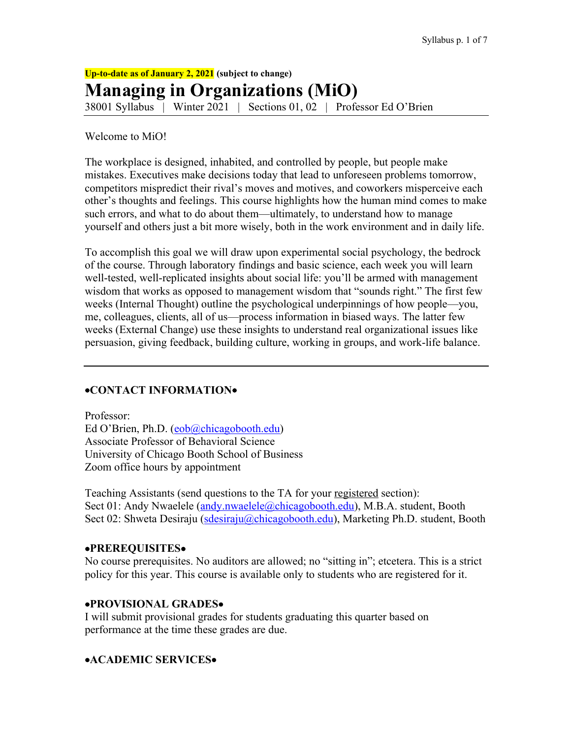**Up-to-date as of January 2, 2021 (subject to change) Managing in Organizations (MiO)** 38001 Syllabus | Winter 2021 | Sections 01, 02 | Professor Ed O'Brien

Welcome to MiO!

The workplace is designed, inhabited, and controlled by people, but people make mistakes. Executives make decisions today that lead to unforeseen problems tomorrow, competitors mispredict their rival's moves and motives, and coworkers misperceive each other's thoughts and feelings. This course highlights how the human mind comes to make such errors, and what to do about them—ultimately, to understand how to manage yourself and others just a bit more wisely, both in the work environment and in daily life.

To accomplish this goal we will draw upon experimental social psychology, the bedrock of the course. Through laboratory findings and basic science, each week you will learn well-tested, well-replicated insights about social life: you'll be armed with management wisdom that works as opposed to management wisdom that "sounds right." The first few weeks (Internal Thought) outline the psychological underpinnings of how people—you, me, colleagues, clients, all of us—process information in biased ways. The latter few weeks (External Change) use these insights to understand real organizational issues like persuasion, giving feedback, building culture, working in groups, and work-life balance.

# •**CONTACT INFORMATION**•

Professor: Ed O'Brien, Ph.D. (eob@chicagobooth.edu) Associate Professor of Behavioral Science University of Chicago Booth School of Business Zoom office hours by appointment

Teaching Assistants (send questions to the TA for your registered section): Sect 01: Andy Nwaelele (andy.nwaelele@chicagobooth.edu), M.B.A. student, Booth Sect 02: Shweta Desiraju (sdesiraju@chicagobooth.edu), Marketing Ph.D. student, Booth

### •**PREREQUISITES**•

No course prerequisites. No auditors are allowed; no "sitting in"; etcetera. This is a strict policy for this year. This course is available only to students who are registered for it.

### •**PROVISIONAL GRADES**•

I will submit provisional grades for students graduating this quarter based on performance at the time these grades are due.

# •**ACADEMIC SERVICES**•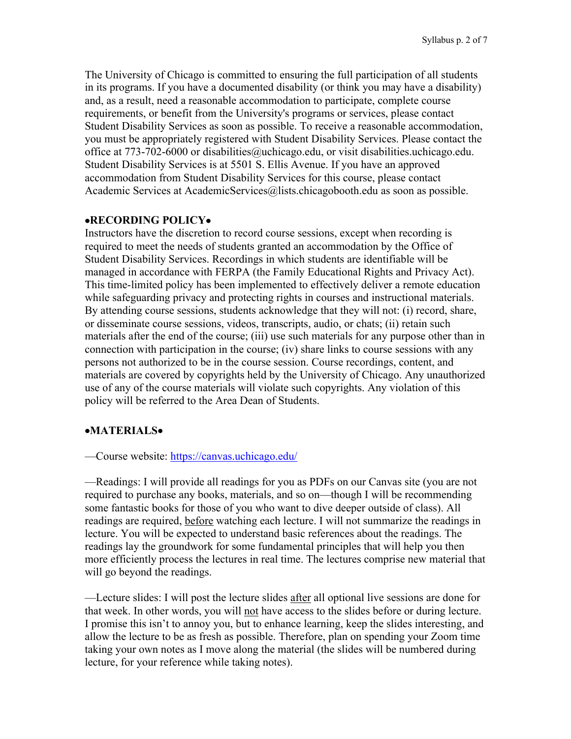The University of Chicago is committed to ensuring the full participation of all students in its programs. If you have a documented disability (or think you may have a disability) and, as a result, need a reasonable accommodation to participate, complete course requirements, or benefit from the University's programs or services, please contact Student Disability Services as soon as possible. To receive a reasonable accommodation, you must be appropriately registered with Student Disability Services. Please contact the office at 773-702-6000 or disabilities@uchicago.edu, or visit disabilities.uchicago.edu. Student Disability Services is at 5501 S. Ellis Avenue. If you have an approved accommodation from Student Disability Services for this course, please contact Academic Services at AcademicServices@lists.chicagobooth.edu as soon as possible.

#### •**RECORDING POLICY**•

Instructors have the discretion to record course sessions, except when recording is required to meet the needs of students granted an accommodation by the Office of Student Disability Services. Recordings in which students are identifiable will be managed in accordance with FERPA (the Family Educational Rights and Privacy Act). This time-limited policy has been implemented to effectively deliver a remote education while safeguarding privacy and protecting rights in courses and instructional materials. By attending course sessions, students acknowledge that they will not: (i) record, share, or disseminate course sessions, videos, transcripts, audio, or chats; (ii) retain such materials after the end of the course; (iii) use such materials for any purpose other than in connection with participation in the course; (iv) share links to course sessions with any persons not authorized to be in the course session. Course recordings, content, and materials are covered by copyrights held by the University of Chicago. Any unauthorized use of any of the course materials will violate such copyrights. Any violation of this policy will be referred to the Area Dean of Students.

# •**MATERIALS**•

—Course website: https://canvas.uchicago.edu/

—Readings: I will provide all readings for you as PDFs on our Canvas site (you are not required to purchase any books, materials, and so on—though I will be recommending some fantastic books for those of you who want to dive deeper outside of class). All readings are required, before watching each lecture. I will not summarize the readings in lecture. You will be expected to understand basic references about the readings. The readings lay the groundwork for some fundamental principles that will help you then more efficiently process the lectures in real time. The lectures comprise new material that will go beyond the readings.

—Lecture slides: I will post the lecture slides after all optional live sessions are done for that week. In other words, you will not have access to the slides before or during lecture. I promise this isn't to annoy you, but to enhance learning, keep the slides interesting, and allow the lecture to be as fresh as possible. Therefore, plan on spending your Zoom time taking your own notes as I move along the material (the slides will be numbered during lecture, for your reference while taking notes).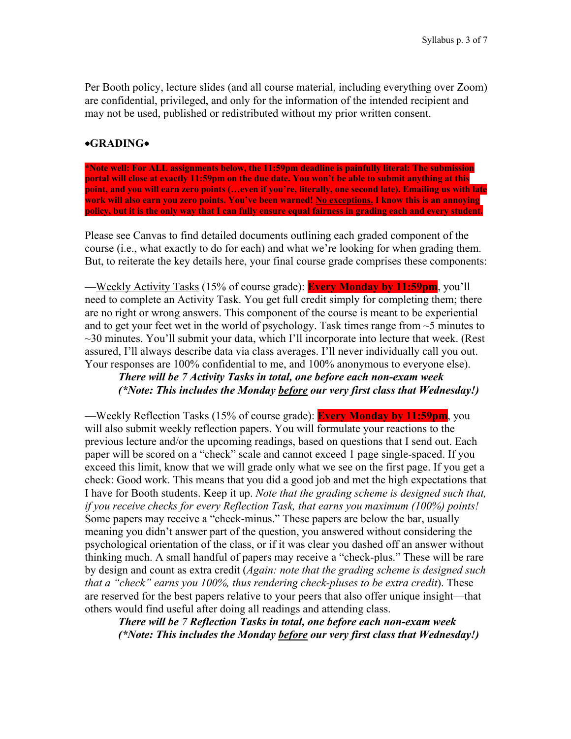Per Booth policy, lecture slides (and all course material, including everything over Zoom) are confidential, privileged, and only for the information of the intended recipient and may not be used, published or redistributed without my prior written consent.

# •**GRADING**•

**\*Note well: For ALL assignments below, the 11:59pm deadline is painfully literal: The submission portal will close at exactly 11:59pm on the due date. You won't be able to submit anything at this point, and you will earn zero points (…even if you're, literally, one second late). Emailing us with late work will also earn you zero points. You've been warned! No exceptions. I know this is an annoying policy, but it is the only way that I can fully ensure equal fairness in grading each and every student.**

Please see Canvas to find detailed documents outlining each graded component of the course (i.e., what exactly to do for each) and what we're looking for when grading them. But, to reiterate the key details here, your final course grade comprises these components:

—Weekly Activity Tasks (15% of course grade): **Every Monday by 11:59pm**, you'll need to complete an Activity Task. You get full credit simply for completing them; there are no right or wrong answers. This component of the course is meant to be experiential and to get your feet wet in the world of psychology. Task times range from  $\sim$  5 minutes to ~30 minutes. You'll submit your data, which I'll incorporate into lecture that week. (Rest assured, I'll always describe data via class averages. I'll never individually call you out. Your responses are 100% confidential to me, and 100% anonymous to everyone else).

# *There will be 7 Activity Tasks in total, one before each non-exam week (\*Note: This includes the Monday before our very first class that Wednesday!)*

—Weekly Reflection Tasks (15% of course grade): **Every Monday by 11:59pm**, you will also submit weekly reflection papers. You will formulate your reactions to the previous lecture and/or the upcoming readings, based on questions that I send out. Each paper will be scored on a "check" scale and cannot exceed 1 page single-spaced. If you exceed this limit, know that we will grade only what we see on the first page. If you get a check: Good work. This means that you did a good job and met the high expectations that I have for Booth students. Keep it up. *Note that the grading scheme is designed such that, if you receive checks for every Reflection Task, that earns you maximum (100%) points!* Some papers may receive a "check-minus." These papers are below the bar, usually meaning you didn't answer part of the question, you answered without considering the psychological orientation of the class, or if it was clear you dashed off an answer without thinking much. A small handful of papers may receive a "check-plus." These will be rare by design and count as extra credit (*Again: note that the grading scheme is designed such that a "check" earns you 100%, thus rendering check-pluses to be extra credit*). These are reserved for the best papers relative to your peers that also offer unique insight—that others would find useful after doing all readings and attending class.

*There will be 7 Reflection Tasks in total, one before each non-exam week (\*Note: This includes the Monday before our very first class that Wednesday!)*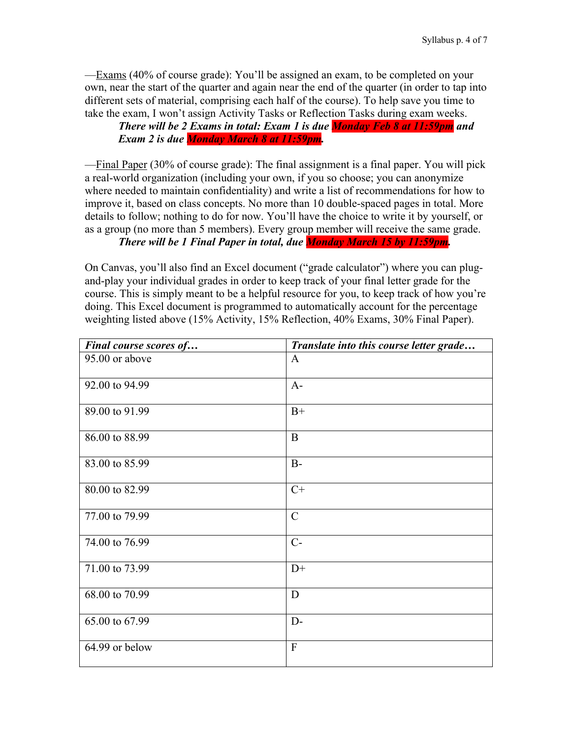—Exams (40% of course grade): You'll be assigned an exam, to be completed on your own, near the start of the quarter and again near the end of the quarter (in order to tap into different sets of material, comprising each half of the course). To help save you time to take the exam, I won't assign Activity Tasks or Reflection Tasks during exam weeks.

*There will be 2 Exams in total: Exam 1 is due Monday Feb 8 at 11:59pm and Exam 2 is due Monday March 8 at 11:59pm.*

—Final Paper (30% of course grade): The final assignment is a final paper. You will pick a real-world organization (including your own, if you so choose; you can anonymize where needed to maintain confidentiality) and write a list of recommendations for how to improve it, based on class concepts. No more than 10 double-spaced pages in total. More details to follow; nothing to do for now. You'll have the choice to write it by yourself, or as a group (no more than 5 members). Every group member will receive the same grade.

*There will be 1 Final Paper in total, due Monday March 15 by 11:59pm.*

On Canvas, you'll also find an Excel document ("grade calculator") where you can plugand-play your individual grades in order to keep track of your final letter grade for the course. This is simply meant to be a helpful resource for you, to keep track of how you're doing. This Excel document is programmed to automatically account for the percentage weighting listed above (15% Activity, 15% Reflection, 40% Exams, 30% Final Paper).

| Final course scores of | Translate into this course letter grade |
|------------------------|-----------------------------------------|
| 95.00 or above         | $\mathbf{A}$                            |
| 92.00 to 94.99         | $A-$                                    |
| 89.00 to 91.99         | $B+$                                    |
| 86.00 to 88.99         | $\mathbf{B}$                            |
| 83.00 to 85.99         | $B -$                                   |
| 80.00 to 82.99         | $C+$                                    |
| 77.00 to 79.99         | $\mathcal{C}$                           |
| 74.00 to 76.99         | $C-$                                    |
| 71.00 to 73.99         | $D+$                                    |
| 68.00 to 70.99         | D                                       |
| 65.00 to 67.99         | $D-$                                    |
| 64.99 or below         | $\overline{F}$                          |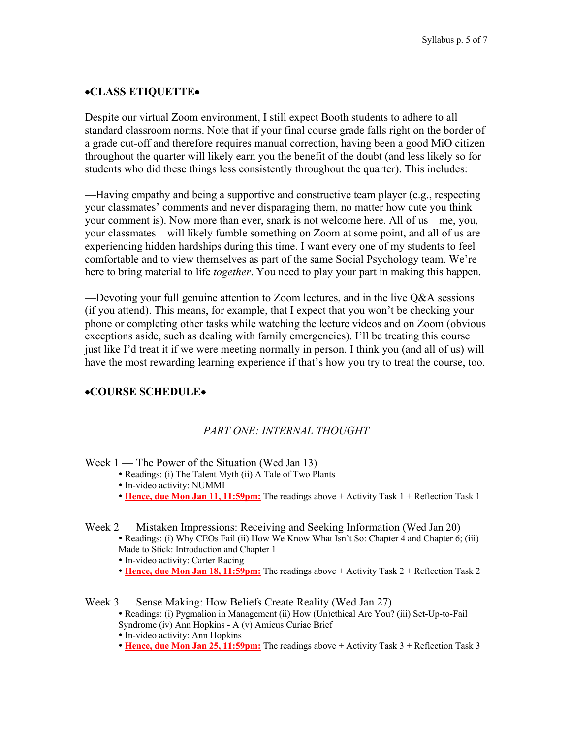# •**CLASS ETIQUETTE**•

Despite our virtual Zoom environment, I still expect Booth students to adhere to all standard classroom norms. Note that if your final course grade falls right on the border of a grade cut-off and therefore requires manual correction, having been a good MiO citizen throughout the quarter will likely earn you the benefit of the doubt (and less likely so for students who did these things less consistently throughout the quarter). This includes:

—Having empathy and being a supportive and constructive team player (e.g., respecting your classmates' comments and never disparaging them, no matter how cute you think your comment is). Now more than ever, snark is not welcome here. All of us—me, you, your classmates—will likely fumble something on Zoom at some point, and all of us are experiencing hidden hardships during this time. I want every one of my students to feel comfortable and to view themselves as part of the same Social Psychology team. We're here to bring material to life *together*. You need to play your part in making this happen.

—Devoting your full genuine attention to Zoom lectures, and in the live Q&A sessions (if you attend). This means, for example, that I expect that you won't be checking your phone or completing other tasks while watching the lecture videos and on Zoom (obvious exceptions aside, such as dealing with family emergencies). I'll be treating this course just like I'd treat it if we were meeting normally in person. I think you (and all of us) will have the most rewarding learning experience if that's how you try to treat the course, too.

### •**COURSE SCHEDULE**•

### *PART ONE: INTERNAL THOUGHT*

Week  $1$  — The Power of the Situation (Wed Jan 13)

- Readings: (i) The Talent Myth (ii) A Tale of Two Plants
- In-video activity: NUMMI
- **Hence, due Mon Jan 11, 11:59pm:** The readings above + Activity Task 1 + Reflection Task 1

Week 2 — Mistaken Impressions: Receiving and Seeking Information (Wed Jan 20)

- Readings: (i) Why CEOs Fail (ii) How We Know What Isn't So: Chapter 4 and Chapter 6; (iii) Made to Stick: Introduction and Chapter 1
- In-video activity: Carter Racing
- **Hence, due Mon Jan 18, 11:59pm:** The readings above + Activity Task 2 + Reflection Task 2

Week 3 — Sense Making: How Beliefs Create Reality (Wed Jan 27)

- Readings: (i) Pygmalion in Management (ii) How (Un)ethical Are You? (iii) Set-Up-to-Fail Syndrome (iv) Ann Hopkins - A (v) Amicus Curiae Brief
- In-video activity: Ann Hopkins
- **Hence, due Mon Jan 25, 11:59pm:** The readings above + Activity Task 3 + Reflection Task 3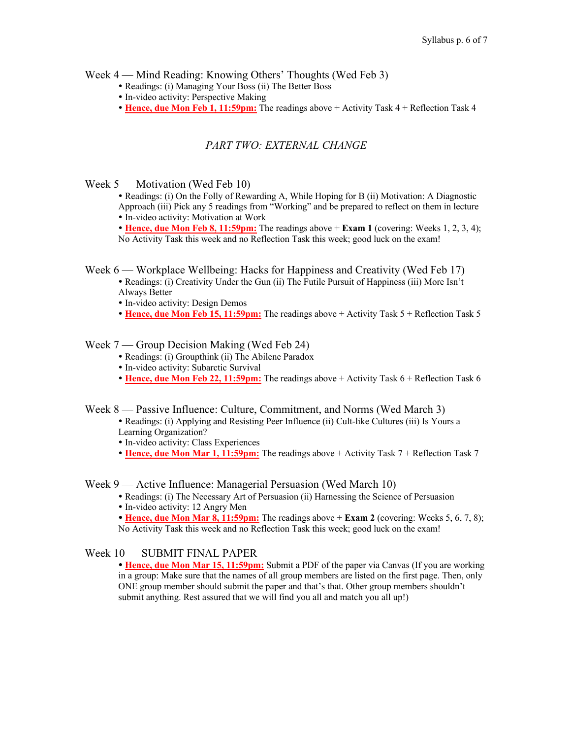Week 4 — Mind Reading: Knowing Others' Thoughts (Wed Feb 3)

- Readings: (i) Managing Your Boss (ii) The Better Boss
- In-video activity: Perspective Making
- **Hence, due Mon Feb 1, 11:59pm:** The readings above + Activity Task 4 + Reflection Task 4

# *PART TWO: EXTERNAL CHANGE*

Week 5 — Motivation (Wed Feb 10)

 Readings: (i) On the Folly of Rewarding A, While Hoping for B (ii) Motivation: A Diagnostic Approach (iii) Pick any 5 readings from "Working" and be prepared to reflect on them in lecture In-video activity: Motivation at Work

 **Hence, due Mon Feb 8, 11:59pm:** The readings above + **Exam 1** (covering: Weeks 1, 2, 3, 4); No Activity Task this week and no Reflection Task this week; good luck on the exam!

Week 6 — Workplace Wellbeing: Hacks for Happiness and Creativity (Wed Feb 17)

- Readings: (i) Creativity Under the Gun (ii) The Futile Pursuit of Happiness (iii) More Isn't Always Better
- In-video activity: Design Demos
- **Hence, due Mon Feb 15, 11:59pm:** The readings above + Activity Task 5 + Reflection Task 5

### Week 7 — Group Decision Making (Wed Feb 24)

- Readings: (i) Groupthink (ii) The Abilene Paradox
- In-video activity: Subarctic Survival
- **Hence, due Mon Feb 22, 11:59pm:** The readings above + Activity Task 6 + Reflection Task 6

Week 8 — Passive Influence: Culture, Commitment, and Norms (Wed March 3)

 Readings: (i) Applying and Resisting Peer Influence (ii) Cult-like Cultures (iii) Is Yours a Learning Organization?

- In-video activity: Class Experiences
- **Hence, due Mon Mar 1, 11:59pm:** The readings above + Activity Task 7 + Reflection Task 7

Week 9 — Active Influence: Managerial Persuasion (Wed March 10)

- Readings: (i) The Necessary Art of Persuasion (ii) Harnessing the Science of Persuasion
- In-video activity: 12 Angry Men
- **Hence, due Mon Mar 8, 11:59pm:** The readings above + **Exam 2** (covering: Weeks 5, 6, 7, 8); No Activity Task this week and no Reflection Task this week; good luck on the exam!

### Week 10 — SUBMIT FINAL PAPER

 **Hence, due Mon Mar 15, 11:59pm:** Submit a PDF of the paper via Canvas (If you are working in a group: Make sure that the names of all group members are listed on the first page. Then, only ONE group member should submit the paper and that's that. Other group members shouldn't submit anything. Rest assured that we will find you all and match you all up!)